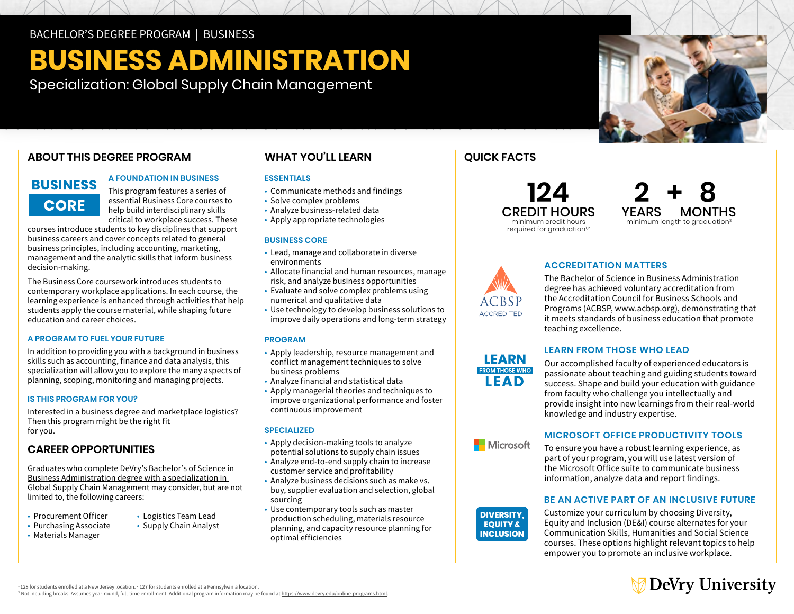# **BUSINESS ADMINISTRATION**

Specialization: Global Supply Chain Management

# **ABOUT THIS DEGREE PROGRAM**

# BUSINESS **CORE**

# **A FOUNDATION IN BUSINESS**

This program features a series of essential Business Core courses to help build interdisciplinary skills critical to workplace success. These

courses introduce students to key disciplines that support business careers and cover concepts related to general business principles, including accounting, marketing, management and the analytic skills that inform business decision-making.

The Business Core coursework introduces students to contemporary workplace applications. In each course, the learning experience is enhanced through activities that help students apply the course material, while shaping future education and career choices.

### **A PROGRAM TO FUEL YOUR FUTURE**

In addition to providing you with a background in business skills such as accounting, finance and data analysis, this specialization will allow you to explore the many aspects of planning, scoping, monitoring and managing projects.

## **IS THIS PROGRAM FOR YOU?**

Interested in a business degree and marketplace logistics? Then this program might be the right fit for you.

# **CAREER OPPORTUNITIES**

Graduates who complete DeVry's [Bachelor's of Science in](https://www.devry.edu/online-programs/bachelors-degrees/business/global-supply-chain-management-specialization.html)  [Business Administration degree with a specialization in](https://www.devry.edu/online-programs/bachelors-degrees/business/global-supply-chain-management-specialization.html)  [Global Supply Chain Management](https://www.devry.edu/online-programs/bachelors-degrees/business/global-supply-chain-management-specialization.html) may consider, but are not limited to, the following careers:

- Procurement Officer Logistics Team Lead
- 
- 
- Purchasing Associate Supply Chain Analyst
- Materials Manager

# **WHAT YOU'LL LEARN**

# **ESSENTIALS**

- Communicate methods and findings
- Solve complex problems
- Analyze business-related data
- Apply appropriate technologies

### **BUSINESS CORE**

- • Lead, manage and collaborate in diverse environments
- • Allocate financial and human resources, manage risk, and analyze business opportunities
- • Evaluate and solve complex problems using numerical and qualitative data
- • Use technology to develop business solutions to improve daily operations and long-term strategy

### **PROGRAM**

- • Apply leadership, resource management and conflict management techniques to solve business problems
- Analyze financial and statistical data
- • Apply managerial theories and techniques to improve organizational performance and foster continuous improvement

## **SPECIALIZED**

- • Apply decision-making tools to analyze potential solutions to supply chain issues
- • Analyze end-to-end supply chain to increase customer service and profitability
- • Analyze business decisions such as make vs. buy, supplier evaluation and selection, global sourcing
- • Use contemporary tools such as master production scheduling, materials resource planning, and capacity resource planning for optimal efficiencies

# **QUICK FACTS**

**CREDIT HOURS**<br>*Minimum credit hours* required for graduation<sup>1,2</sup>

**124 2 + 8** minimum length to graduation<sup>3</sup>



# **ACCREDITATION MATTERS**

The Bachelor of Science in Business Administration degree has achieved voluntary accreditation from the Accreditation Council for Business Schools and Programs (ACBSP, [www.acbsp.org](http://www.acbsp.org)), demonstrating that it meets standards of business education that promote teaching excellence.



Microsoft

**INCLUSION** 

# **LEARN FROM THOSE WHO LEAD**

Our accomplished faculty of experienced educators is passionate about teaching and guiding students toward success. Shape and build your education with guidance from faculty who challenge you intellectually and provide insight into new learnings from their real-world knowledge and industry expertise.

# **MICROSOFT OFFICE PRODUCTIVITY TOOLS**

To ensure you have a robust learning experience, as part of your program, you will use latest version of the Microsoft Office suite to communicate business information, analyze data and report findings.

# **BE AN ACTIVE PART OF AN INCLUSIVE FUTURE**

**DIVERSITY,** Customize your curriculum by choosing Diversity,<br>**EQUITY &** Equity and Inclusion (DE&I) course alternates for y Equity and Inclusion (DE&I) course alternates for your Communication Skills, Humanities and Social Science courses. These options highlight relevant topics to help empower you to promote an inclusive workplace.



 $1128$  for students enrolled at a New Jersey location.  $2$  127 for students enrolled at a Pennsylvania location.

<sup>3</sup> Not including breaks. Assumes vear-round, full-time enrollment. Additional program information may be found at <https://www.devry.edu/online-programs.html>